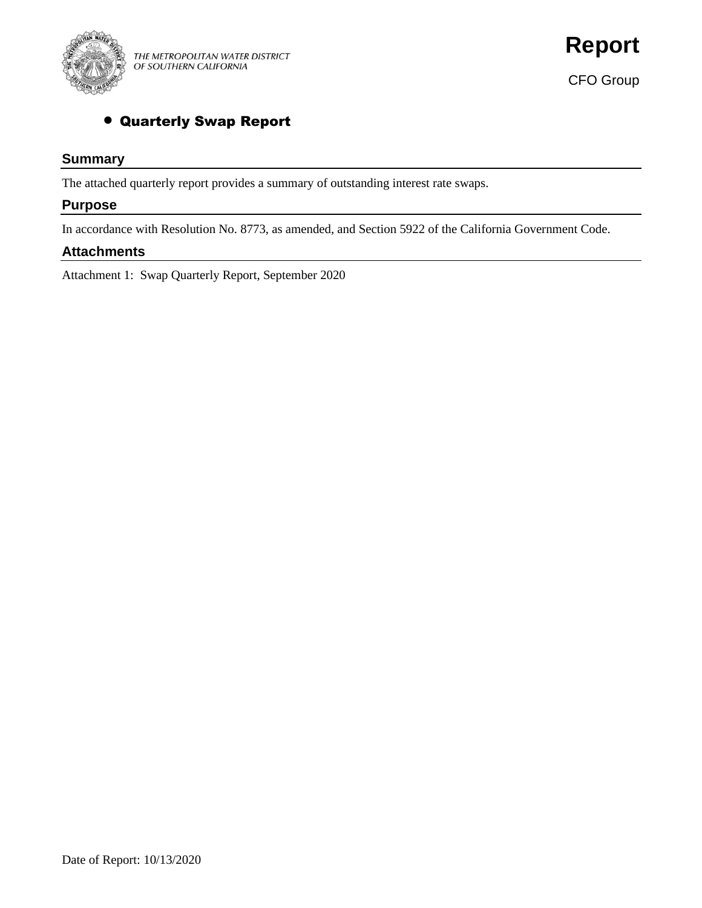

CFO Group

## • Quarterly Swap Report

## **Summary**

The attached quarterly report provides a summary of outstanding interest rate swaps.

## **Purpose**

In accordance with Resolution No. 8773, as amended, and Section 5922 of the California Government Code.

### **Attachments**

Attachment 1: Swap Quarterly Report, September 2020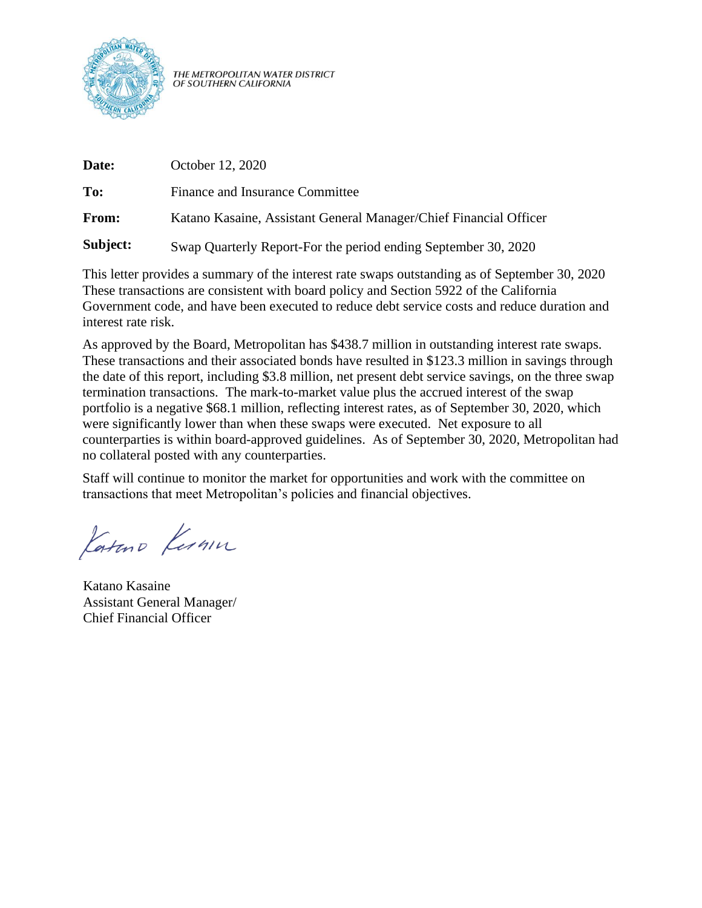

THE METROPOLITAN WATER DISTRICT<br>OF SOUTHERN CALIFORNIA

| Date:    | October 12, 2020                                                  |
|----------|-------------------------------------------------------------------|
| To:      | Finance and Insurance Committee                                   |
| From:    | Katano Kasaine, Assistant General Manager/Chief Financial Officer |
| Subject: | Swap Quarterly Report-For the period ending September 30, 2020    |

This letter provides a summary of the interest rate swaps outstanding as of September 30, 2020 These transactions are consistent with board policy and Section 5922 of the California Government code, and have been executed to reduce debt service costs and reduce duration and interest rate risk.

As approved by the Board, Metropolitan has \$438.7 million in outstanding interest rate swaps. These transactions and their associated bonds have resulted in \$123.3 million in savings through the date of this report, including \$3.8 million, net present debt service savings, on the three swap termination transactions. The mark-to-market value plus the accrued interest of the swap portfolio is a negative \$68.1 million, reflecting interest rates, as of September 30, 2020, which were significantly lower than when these swaps were executed. Net exposure to all counterparties is within board-approved guidelines. As of September 30, 2020, Metropolitan had no collateral posted with any counterparties.

Staff will continue to monitor the market for opportunities and work with the committee on transactions that meet Metropolitan's policies and financial objectives.

Katuro Kernin

Katano Kasaine Assistant General Manager/ Chief Financial Officer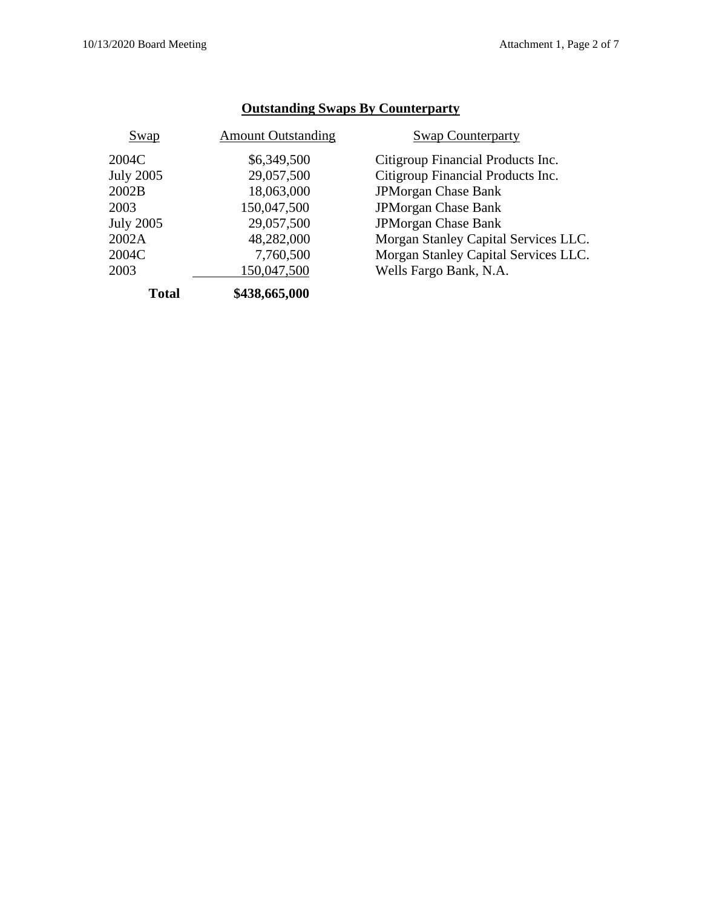| Swap             | <b>Amount Outstanding</b> | <b>Swap Counterparty</b>             |
|------------------|---------------------------|--------------------------------------|
| 2004C            | \$6,349,500               | Citigroup Financial Products Inc.    |
| <b>July 2005</b> | 29,057,500                | Citigroup Financial Products Inc.    |
| 2002B            | 18,063,000                | <b>JPMorgan Chase Bank</b>           |
| 2003             | 150,047,500               | JPMorgan Chase Bank                  |
| <b>July 2005</b> | 29,057,500                | <b>JPMorgan Chase Bank</b>           |
| 2002A            | 48,282,000                | Morgan Stanley Capital Services LLC. |
| 2004C            | 7,760,500                 | Morgan Stanley Capital Services LLC. |
| 2003             | 150,047,500               | Wells Fargo Bank, N.A.               |
| <b>Total</b>     | \$438,665,000             |                                      |

## **Outstanding Swaps By Counterparty**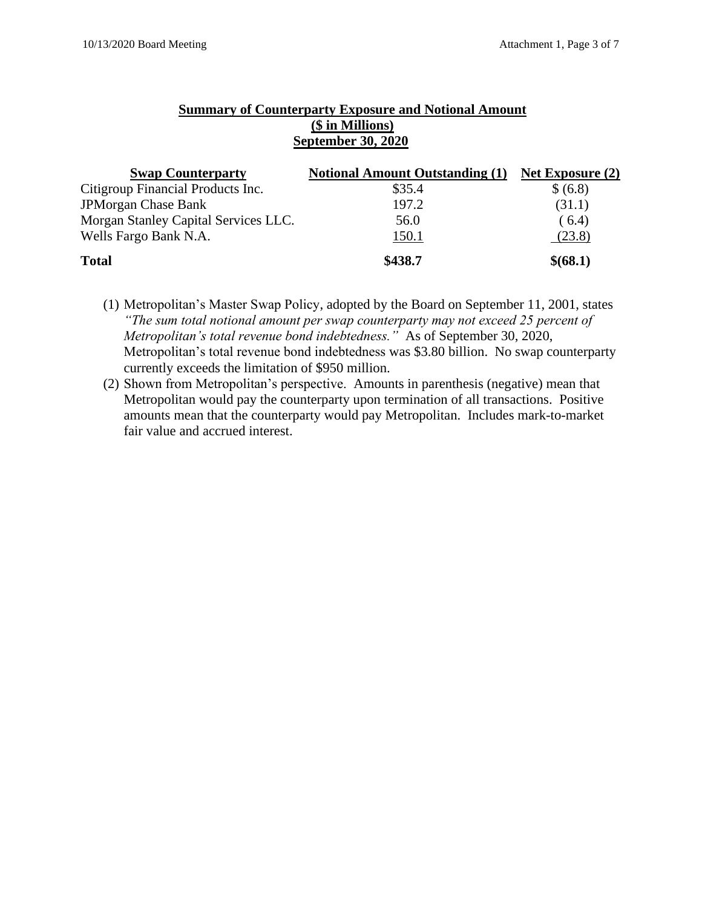### **Summary of Counterparty Exposure and Notional Amount (\$ in Millions) September 30, 2020**

| <b>Swap Counterparty</b>             | <b>Notional Amount Outstanding (1)</b> | Net Exposure $(2)$ |
|--------------------------------------|----------------------------------------|--------------------|
| Citigroup Financial Products Inc.    | \$35.4                                 | \$ (6.8)           |
| <b>JPMorgan Chase Bank</b>           | 197.2                                  | (31.1)             |
| Morgan Stanley Capital Services LLC. | 56.0                                   | (6.4)              |
| Wells Fargo Bank N.A.                | 150.1                                  | (23.8)             |
| <b>Total</b>                         | \$438.7                                | \$(68.1)           |

(1) Metropolitan's Master Swap Policy, adopted by the Board on September 11, 2001, states *"The sum total notional amount per swap counterparty may not exceed 25 percent of Metropolitan's total revenue bond indebtedness."* As of September 30, 2020, Metropolitan's total revenue bond indebtedness was \$3.80 billion. No swap counterparty currently exceeds the limitation of \$950 million.

(2) Shown from Metropolitan's perspective. Amounts in parenthesis (negative) mean that Metropolitan would pay the counterparty upon termination of all transactions. Positive amounts mean that the counterparty would pay Metropolitan. Includes mark-to-market fair value and accrued interest.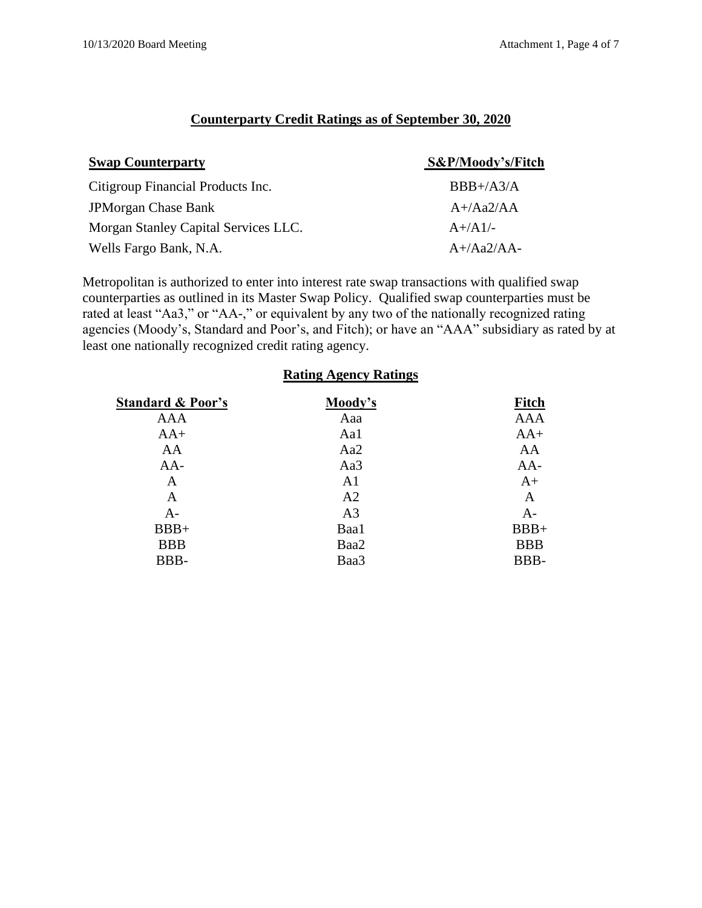### **Counterparty Credit Ratings as of September 30, 2020**

| <b>Swap Counterparty</b>             | S&P/Moody's/Fitch |
|--------------------------------------|-------------------|
| Citigroup Financial Products Inc.    | $BBB+/A3/A$       |
| <b>JPMorgan Chase Bank</b>           | $A+}/Aa2/AA$      |
| Morgan Stanley Capital Services LLC. | $A+/A1/-$         |
| Wells Fargo Bank, N.A.               | $A+}/Aa2/AA-$     |

Metropolitan is authorized to enter into interest rate swap transactions with qualified swap counterparties as outlined in its Master Swap Policy. Qualified swap counterparties must be rated at least "Aa3," or "AA-," or equivalent by any two of the nationally recognized rating agencies (Moody's, Standard and Poor's, and Fitch); or have an "AAA" subsidiary as rated by at least one nationally recognized credit rating agency.

| <b>Rating Agency Ratings</b> |                |              |  |  |  |
|------------------------------|----------------|--------------|--|--|--|
| <b>Standard &amp; Poor's</b> | Moody's        | <b>Fitch</b> |  |  |  |
| <b>AAA</b>                   | Aaa            | <b>AAA</b>   |  |  |  |
| $AA+$                        | Aa1            | $AA+$        |  |  |  |
| AA                           | Aa2            | AA           |  |  |  |
| $AA-$                        | Aa3            | $AA-$        |  |  |  |
| A                            | A <sub>1</sub> | $A+$         |  |  |  |
| A                            | A2             | A            |  |  |  |
| $A -$                        | A <sub>3</sub> | $A-$         |  |  |  |
| $BBB+$                       | Baa1           | $BBB+$       |  |  |  |
| <b>BBB</b>                   | Baa2           | <b>BBB</b>   |  |  |  |
| BBB-                         | Baa3           | BBB-         |  |  |  |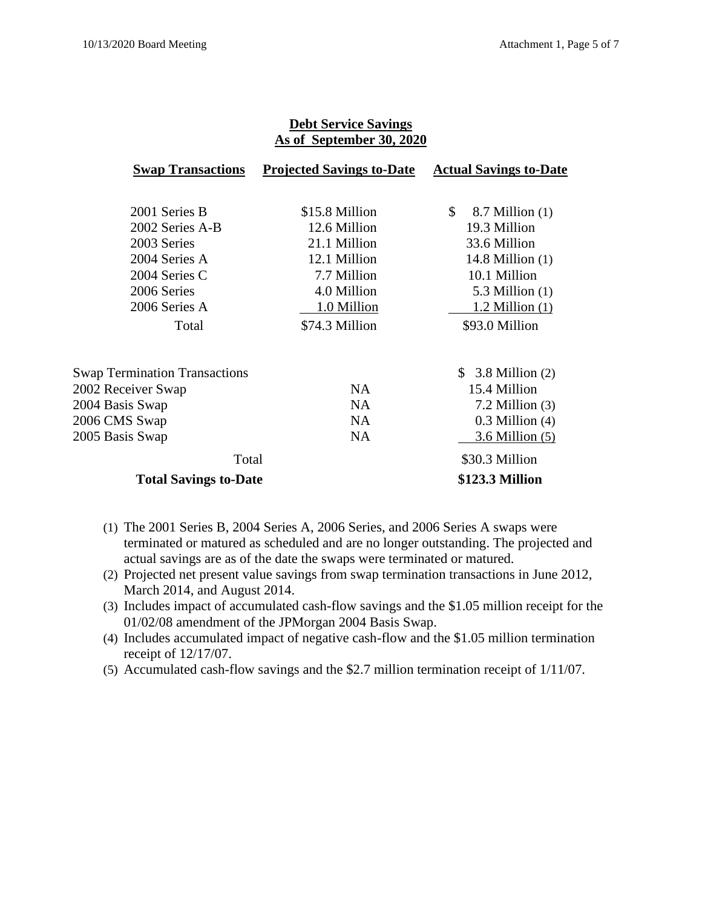|                                      | As of September 30, 2020         |                               |
|--------------------------------------|----------------------------------|-------------------------------|
| <b>Swap Transactions</b>             | <b>Projected Savings to-Date</b> | <b>Actual Savings to-Date</b> |
| 2001 Series B                        | \$15.8 Million                   | \$<br>$8.7$ Million $(1)$     |
| 2002 Series A-B                      | 12.6 Million                     | 19.3 Million                  |
| 2003 Series                          | 21.1 Million                     | 33.6 Million                  |
| 2004 Series A                        | 12.1 Million                     | 14.8 Million $(1)$            |
| 2004 Series C                        | 7.7 Million                      | 10.1 Million                  |
| 2006 Series                          | 4.0 Million                      | 5.3 Million $(1)$             |
| 2006 Series A                        | 1.0 Million                      | $1.2$ Million $(1)$           |
| Total                                | \$74.3 Million                   | \$93.0 Million                |
| <b>Swap Termination Transactions</b> |                                  | $$3.8$ Million (2)            |
| 2002 Receiver Swap                   | <b>NA</b>                        | 15.4 Million                  |
| 2004 Basis Swap                      | <b>NA</b>                        | $7.2$ Million $(3)$           |
| 2006 CMS Swap                        | <b>NA</b>                        | $0.3$ Million $(4)$           |
| 2005 Basis Swap                      | <b>NA</b>                        | $3.6$ Million $(5)$           |
| Total                                |                                  | \$30.3 Million                |
| <b>Total Savings to-Date</b>         |                                  | \$123.3 Million               |

# **Debt Service Savings**

- (1) The 2001 Series B, 2004 Series A, 2006 Series, and 2006 Series A swaps were terminated or matured as scheduled and are no longer outstanding. The projected and actual savings are as of the date the swaps were terminated or matured.
- (2) Projected net present value savings from swap termination transactions in June 2012, March 2014, and August 2014.
- (3) Includes impact of accumulated cash-flow savings and the \$1.05 million receipt for the 01/02/08 amendment of the JPMorgan 2004 Basis Swap.
- (4) Includes accumulated impact of negative cash-flow and the \$1.05 million termination receipt of 12/17/07.
- (5) Accumulated cash-flow savings and the \$2.7 million termination receipt of 1/11/07.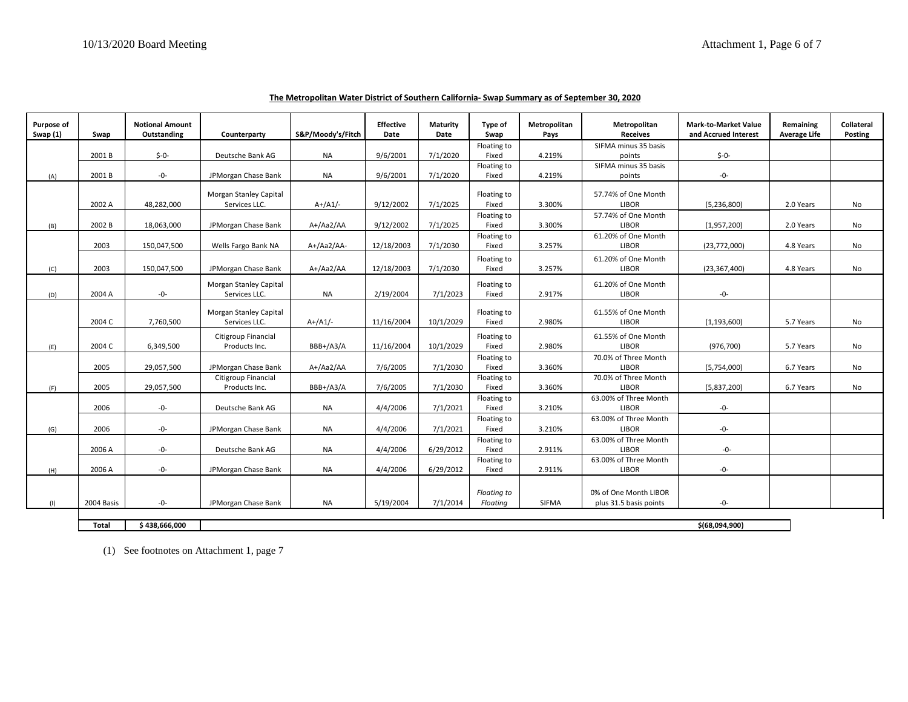| Purpose of<br>Swap (1) | Swap       | <b>Notional Amount</b><br>Outstanding | Counterparty                            | S&P/Moody's/Fitch | <b>Effective</b><br>Date | Maturity<br>Date | Type of<br>Swap                | Metropolitan<br>Pays | Metropolitan<br><b>Receives</b>                 | <b>Mark-to-Market Value</b><br>and Accrued Interest | Remaining<br><b>Average Life</b> | <b>Collateral</b><br>Posting |
|------------------------|------------|---------------------------------------|-----------------------------------------|-------------------|--------------------------|------------------|--------------------------------|----------------------|-------------------------------------------------|-----------------------------------------------------|----------------------------------|------------------------------|
|                        |            |                                       |                                         |                   |                          |                  | Floating to                    |                      | SIFMA minus 35 basis                            |                                                     |                                  |                              |
|                        | 2001B      | $$ -0-$                               | Deutsche Bank AG                        | <b>NA</b>         | 9/6/2001                 | 7/1/2020         | Fixed                          | 4.219%               | points                                          | $$-0-$                                              |                                  |                              |
| (A)                    | 2001B      | -0-                                   | JPMorgan Chase Bank                     | <b>NA</b>         | 9/6/2001                 | 7/1/2020         | Floating to<br>Fixed           | 4.219%               | SIFMA minus 35 basis<br>points                  | -0-                                                 |                                  |                              |
|                        | 2002 A     | 48,282,000                            | Morgan Stanley Capital<br>Services LLC. | $A+/A1/-$         | 9/12/2002                | 7/1/2025         | Floating to<br>Fixed           | 3.300%               | 57.74% of One Month<br><b>LIBOR</b>             | (5,236,800)                                         | 2.0 Years                        | No                           |
| (B)                    | 2002 B     | 18,063,000                            | JPMorgan Chase Bank                     | A+/Aa2/AA         | 9/12/2002                | 7/1/2025         | Floating to<br>Fixed           | 3.300%               | 57.74% of One Month<br><b>LIBOR</b>             | (1,957,200)                                         | 2.0 Years                        | No                           |
|                        | 2003       | 150,047,500                           | Wells Fargo Bank NA                     | A+/Aa2/AA-        | 12/18/2003               | 7/1/2030         | Floating to<br>Fixed           | 3.257%               | 61.20% of One Month<br><b>LIBOR</b>             | (23,772,000)                                        | 4.8 Years                        | No                           |
| (C)                    | 2003       | 150,047,500                           | JPMorgan Chase Bank                     | A+/Aa2/AA         | 12/18/2003               | 7/1/2030         | Floating to<br>Fixed           | 3.257%               | 61.20% of One Month<br><b>LIBOR</b>             | (23, 367, 400)                                      | 4.8 Years                        | No                           |
| (D)                    | 2004 A     | -0-                                   | Morgan Stanley Capital<br>Services LLC. | <b>NA</b>         | 2/19/2004                | 7/1/2023         | Floating to<br>Fixed           | 2.917%               | 61.20% of One Month<br><b>LIBOR</b>             | -0-                                                 |                                  |                              |
|                        | 2004 C     | 7,760,500                             | Morgan Stanley Capital<br>Services LLC. | $A+/A1/-$         | 11/16/2004               | 10/1/2029        | Floating to<br>Fixed           | 2.980%               | 61.55% of One Month<br><b>LIBOR</b>             | (1, 193, 600)                                       | 5.7 Years                        | No                           |
| (E)                    | 2004 C     | 6,349,500                             | Citigroup Financial<br>Products Inc.    | BBB+/A3/A         | 11/16/2004               | 10/1/2029        | Floating to<br>Fixed           | 2.980%               | 61.55% of One Month<br><b>LIBOR</b>             | (976, 700)                                          | 5.7 Years                        | No                           |
|                        | 2005       | 29,057,500                            | JPMorgan Chase Bank                     | A+/Aa2/AA         | 7/6/2005                 | 7/1/2030         | Floating to<br>Fixed           | 3.360%               | 70.0% of Three Month<br><b>LIBOR</b>            | (5,754,000)                                         | 6.7 Years                        | No                           |
| (F)                    | 2005       | 29,057,500                            | Citigroup Financial<br>Products Inc.    | BBB+/A3/A         | 7/6/2005                 | 7/1/2030         | Floating to<br>Fixed           | 3.360%               | 70.0% of Three Month<br><b>LIBOR</b>            | (5,837,200)                                         | 6.7 Years                        | No                           |
|                        | 2006       | -0-                                   | Deutsche Bank AG                        | <b>NA</b>         | 4/4/2006                 | 7/1/2021         | Floating to<br>Fixed           | 3.210%               | 63.00% of Three Month<br><b>LIBOR</b>           | -0-                                                 |                                  |                              |
| (G)                    | 2006       | $-0-$                                 | JPMorgan Chase Bank                     | <b>NA</b>         | 4/4/2006                 | 7/1/2021         | Floating to<br>Fixed           | 3.210%               | 63.00% of Three Month<br><b>LIBOR</b>           | $-0-$                                               |                                  |                              |
|                        | 2006 A     | -0-                                   | Deutsche Bank AG                        | <b>NA</b>         | 4/4/2006                 | 6/29/2012        | Floating to<br>Fixed           | 2.911%               | 63.00% of Three Month<br><b>LIBOR</b>           | -0-                                                 |                                  |                              |
| (H)                    | 2006 A     | $-0-$                                 | JPMorgan Chase Bank                     | <b>NA</b>         | 4/4/2006                 | 6/29/2012        | Floating to<br>Fixed           | 2.911%               | 63.00% of Three Month<br><b>LIBOR</b>           | -0-                                                 |                                  |                              |
| (1)                    | 2004 Basis | -0-                                   | JPMorgan Chase Bank                     | <b>NA</b>         | 5/19/2004                | 7/1/2014         | <b>Floating to</b><br>Floatina | <b>SIFMA</b>         | 0% of One Month LIBOR<br>plus 31.5 basis points | -0-                                                 |                                  |                              |

**The Metropolitan Water District of Southern California- Swap Summary as of September 30, 2020**

**Total \$ 438,666,000 \$(68,094,900)**

(1) See footnotes on Attachment 1, page 7